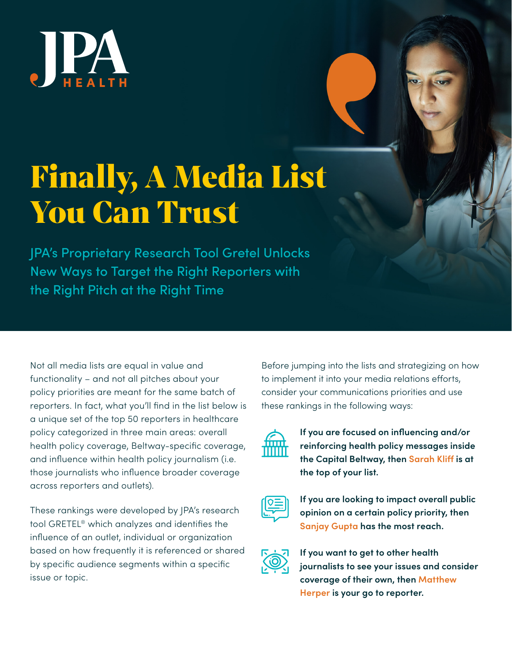

## Finally, A Media List You Can Trust

JPA's Proprietary Research Tool Gretel Unlocks New Ways to Target the Right Reporters with the Right Pitch at the Right Time

Not all media lists are equal in value and functionality – and not all pitches about your policy priorities are meant for the same batch of reporters. In fact, what you'll find in the list below is a unique set of the top 50 reporters in healthcare policy categorized in three main areas: overall health policy coverage, Beltway-specific coverage, and influence within health policy journalism (i.e. those journalists who influence broader coverage across reporters and outlets).

These rankings were developed by JPA's research tool GRETEL® which analyzes and identifies the influence of an outlet, individual or organization based on how frequently it is referenced or shared by specific audience segments within a specific issue or topic.

Before jumping into the lists and strategizing on how to implement it into your media relations efforts, consider your communications priorities and use these rankings in the following ways:



**If you are focused on influencing and/or reinforcing health policy messages inside the Capital Beltway, then Sarah Kliff is at the top of your list.**



**If you are looking to impact overall public opinion on a certain policy priority, then Sanjay Gupta has the most reach.**



**If you want to get to other health journalists to see your issues and consider coverage of their own, then Matthew Herper is your go to reporter.**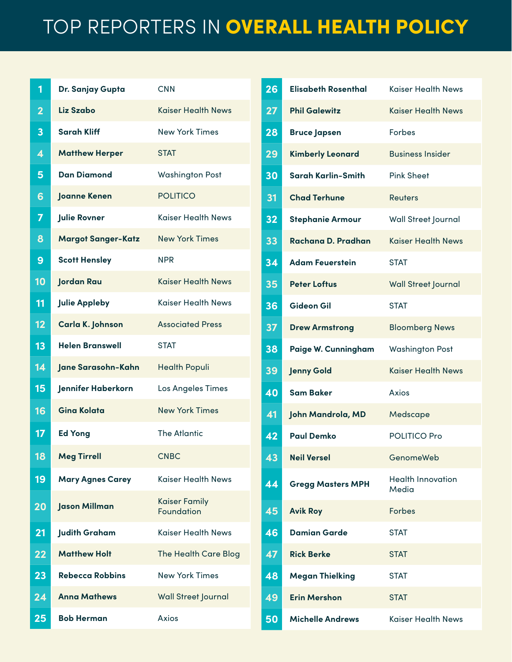## TOP REPORTERS IN OVERALL HEALTH POLICY

| 1                       | Dr. Sanjay Gupta          | <b>CNN</b>                         |
|-------------------------|---------------------------|------------------------------------|
| $\overline{\mathbf{2}}$ | Liz Szabo                 | <b>Kaiser Health News</b>          |
| 3                       | <b>Sarah Kliff</b>        | <b>New York Times</b>              |
| 4                       | <b>Matthew Herper</b>     | <b>STAT</b>                        |
| 5                       | <b>Dan Diamond</b>        | <b>Washington Post</b>             |
| 6                       | <b>Joanne Kenen</b>       | <b>POLITICO</b>                    |
| 7                       | <b>Julie Rovner</b>       | Kaiser Health News                 |
| 8                       | <b>Margot Sanger-Katz</b> | <b>New York Times</b>              |
| 9                       | <b>Scott Hensley</b>      | <b>NPR</b>                         |
| 10                      | <b>Jordan Rau</b>         | <b>Kaiser Health News</b>          |
| 11                      | <b>Julie Appleby</b>      | Kaiser Health News                 |
| 12                      | Carla K. Johnson          | <b>Associated Press</b>            |
| 13                      | <b>Helen Branswell</b>    | STAT                               |
| 14                      | Jane Sarasohn-Kahn        | <b>Health Populi</b>               |
| 15                      | Jennifer Haberkorn        | Los Angeles Times                  |
| 16                      | <b>Gina Kolata</b>        | <b>New York Times</b>              |
| 17                      | <b>Ed Yong</b>            | <b>The Atlantic</b>                |
| 18                      | <b>Meg Tirrell</b>        | <b>CNBC</b>                        |
| 19                      | <b>Mary Agnes Carey</b>   | <b>Kaiser Health News</b>          |
| 20                      | <b>Jason Millman</b>      | <b>Kaiser Family</b><br>Foundation |
| 21                      | <b>Judith Graham</b>      | <b>Kaiser Health News</b>          |
| 22                      | <b>Matthew Holt</b>       | <b>The Health Care Blog</b>        |
| 23                      | <b>Rebecca Robbins</b>    | <b>New York Times</b>              |
| 24                      | <b>Anna Mathews</b>       | <b>Wall Street Journal</b>         |
| 25                      | <b>Bob Herman</b>         | Axios                              |

| 26              | Elisabeth Rosenthal      | <b>Kaiser Health News</b>         |
|-----------------|--------------------------|-----------------------------------|
| 27              | <b>Phil Galewitz</b>     | <b>Kaiser Health News</b>         |
| 28              | <b>Bruce Japsen</b>      | <b>Forbes</b>                     |
| 29              | <b>Kimberly Leonard</b>  | <b>Business Insider</b>           |
| 30              | Sarah Karlin-Smith       | <b>Pink Sheet</b>                 |
| 31              | <b>Chad Terhune</b>      | Reuters                           |
| $\overline{32}$ | <b>Stephanie Armour</b>  | Wall Street Journal               |
| 33              | Rachana D. Pradhan       | <b>Kaiser Health News</b>         |
| $\overline{34}$ | <b>Adam Feuerstein</b>   | <b>STAT</b>                       |
| 35              | <b>Peter Loftus</b>      | <b>Wall Street Journal</b>        |
| 36              | <b>Gideon Gil</b>        | <b>STAT</b>                       |
| 37              | <b>Drew Armstrong</b>    | <b>Bloomberg News</b>             |
| 38              | Paige W. Cunningham      | <b>Washington Post</b>            |
| 39              | <b>Jenny Gold</b>        | <b>Kaiser Health News</b>         |
| 40              | <b>Sam Baker</b>         | Axios                             |
| 41              | John Mandrola, MD        | Medscape                          |
| 42              | <b>Paul Demko</b>        | POLITICO Pro                      |
| 43              | <b>Neil Versel</b>       | GenomeWeb                         |
| 44              | <b>Gregg Masters MPH</b> | <b>Health Innovation</b><br>Media |
| 45              | <b>Avik Roy</b>          | <b>Forbes</b>                     |
| 46              | <b>Damian Garde</b>      | <b>STAT</b>                       |
| 47              | <b>Rick Berke</b>        | <b>STAT</b>                       |
| 48              | <b>Megan Thielking</b>   | <b>STAT</b>                       |
| 49              | <b>Erin Mershon</b>      | <b>STAT</b>                       |
| 50              | <b>Michelle Andrews</b>  | <b>Kaiser Health News</b>         |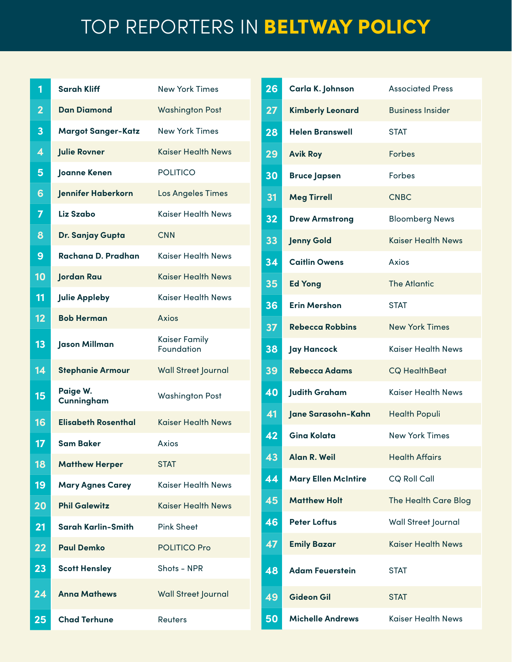## TOP REPORTERS IN BELTWAY POLICY

| 1               | <b>Sarah Kliff</b>         | <b>New York Times</b>       |
|-----------------|----------------------------|-----------------------------|
| 2               | <b>Dan Diamond</b>         | <b>Washington Post</b>      |
| 3               | <b>Margot Sanger-Katz</b>  | <b>New York Times</b>       |
| 4               | <b>Julie Rovner</b>        | <b>Kaiser Health News</b>   |
| 5               | Joanne Kenen               | <b>POLITICO</b>             |
| 6               | Jennifer Haberkorn         | <b>Los Angeles Times</b>    |
| 7               | Liz Szabo                  | <b>Kaiser Health News</b>   |
| 8               | Dr. Sanjay Gupta           | <b>CNN</b>                  |
| 9               | Rachana D. Pradhan         | <b>Kaiser Health News</b>   |
| $\overline{10}$ | <b>Jordan Rau</b>          | <b>Kaiser Health News</b>   |
| 11              | <b>Julie Appleby</b>       | <b>Kaiser Health News</b>   |
| 12              | <b>Bob Herman</b>          | Axios                       |
| 13              | Jason Millman              | Kaiser Family<br>Foundation |
| 14              | <b>Stephanie Armour</b>    | <b>Wall Street Journal</b>  |
| 15              | Paige W.<br>Cunningham     | <b>Washington Post</b>      |
| 16              | <b>Elisabeth Rosenthal</b> | <b>Kaiser Health News</b>   |
| 17              | <b>Sam Baker</b>           | Axios                       |
| 18              | <b>Matthew Herper</b>      | <b>STAT</b>                 |
| 19              | <b>Mary Agnes Carey</b>    | <b>Kaiser Health News</b>   |
| 20              | <b>Phil Galewitz</b>       | <b>Kaiser Health News</b>   |
| 21              | Sarah Karlin-Smith         | <b>Pink Sheet</b>           |
| 22              | <b>Paul Demko</b>          | <b>POLITICO Pro</b>         |
| 23              | <b>Scott Hensley</b>       | Shots - NPR                 |
| 24              | <b>Anna Mathews</b>        | <b>Wall Street Journal</b>  |
| 25              | <b>Chad Terhune</b>        | Reuters                     |

| 26 | Carla K. Johnson           | <b>Associated Press</b>     |
|----|----------------------------|-----------------------------|
| 27 | <b>Kimberly Leonard</b>    | <b>Business Insider</b>     |
| 28 | <b>Helen Branswell</b>     | <b>STAT</b>                 |
| 29 | <b>Avik Roy</b>            | <b>Forbes</b>               |
| 30 | <b>Bruce Japsen</b>        | Forbes                      |
| 31 | <b>Meg Tirrell</b>         | <b>CNBC</b>                 |
| 32 | <b>Drew Armstrong</b>      | <b>Bloomberg News</b>       |
| 33 | <b>Jenny Gold</b>          | <b>Kaiser Health News</b>   |
| 34 | <b>Caitlin Owens</b>       | Axios                       |
| 35 | <b>Ed Yong</b>             | <b>The Atlantic</b>         |
| 36 | <b>Erin Mershon</b>        | <b>STAT</b>                 |
| 37 | Rebecca Robbins            | <b>New York Times</b>       |
| 38 | <b>Jay Hancock</b>         | Kaiser Health News          |
| 39 | <b>Rebecca Adams</b>       | <b>CQ HealthBeat</b>        |
| 40 | <b>Judith Graham</b>       | Kaiser Health News          |
| 41 | Jane Sarasohn-Kahn         | <b>Health Populi</b>        |
| 42 | <b>Gina Kolata</b>         | <b>New York Times</b>       |
| 43 | Alan R. Weil               | <b>Health Affairs</b>       |
| 44 | <b>Mary Ellen McIntire</b> | CQ Roll Call                |
| 45 | <b>Matthew Holt</b>        | <b>The Health Care Blog</b> |
| 46 | <b>Peter Loftus</b>        | Wall Street Journal         |
| 47 | <b>Emily Bazar</b>         | <b>Kaiser Health News</b>   |
| 48 | <b>Adam Feuerstein</b>     | <b>STAT</b>                 |
| 49 | <b>Gideon Gil</b>          | <b>STAT</b>                 |
| 50 | <b>Michelle Andrews</b>    | <b>Kaiser Health News</b>   |